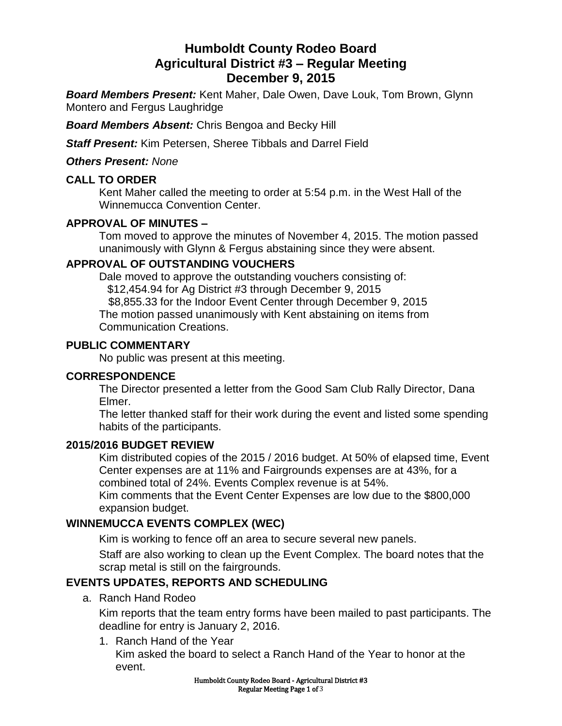# **Humboldt County Rodeo Board Agricultural District #3 – Regular Meeting December 9, 2015**

*Board Members Present:* Kent Maher, Dale Owen, Dave Louk, Tom Brown, Glynn Montero and Fergus Laughridge

*Board Members Absent:* Chris Bengoa and Becky Hill

*Staff Present:* Kim Petersen, Sheree Tibbals and Darrel Field

*Others Present: None*

#### **CALL TO ORDER**

Kent Maher called the meeting to order at 5:54 p.m. in the West Hall of the Winnemucca Convention Center.

### **APPROVAL OF MINUTES –**

Tom moved to approve the minutes of November 4, 2015. The motion passed unanimously with Glynn & Fergus abstaining since they were absent.

#### **APPROVAL OF OUTSTANDING VOUCHERS**

Dale moved to approve the outstanding vouchers consisting of: \$12,454.94 for Ag District #3 through December 9, 2015 \$8,855.33 for the Indoor Event Center through December 9, 2015 The motion passed unanimously with Kent abstaining on items from Communication Creations.

#### **PUBLIC COMMENTARY**

No public was present at this meeting.

#### **CORRESPONDENCE**

The Director presented a letter from the Good Sam Club Rally Director, Dana Elmer.

The letter thanked staff for their work during the event and listed some spending habits of the participants.

#### **2015/2016 BUDGET REVIEW**

Kim distributed copies of the 2015 / 2016 budget. At 50% of elapsed time, Event Center expenses are at 11% and Fairgrounds expenses are at 43%, for a combined total of 24%. Events Complex revenue is at 54%. Kim comments that the Event Center Expenses are low due to the \$800,000 expansion budget.

### **WINNEMUCCA EVENTS COMPLEX (WEC)**

Kim is working to fence off an area to secure several new panels.

Staff are also working to clean up the Event Complex. The board notes that the scrap metal is still on the fairgrounds.

## **EVENTS UPDATES, REPORTS AND SCHEDULING**

a. Ranch Hand Rodeo

Kim reports that the team entry forms have been mailed to past participants. The deadline for entry is January 2, 2016.

1. Ranch Hand of the Year

Kim asked the board to select a Ranch Hand of the Year to honor at the event.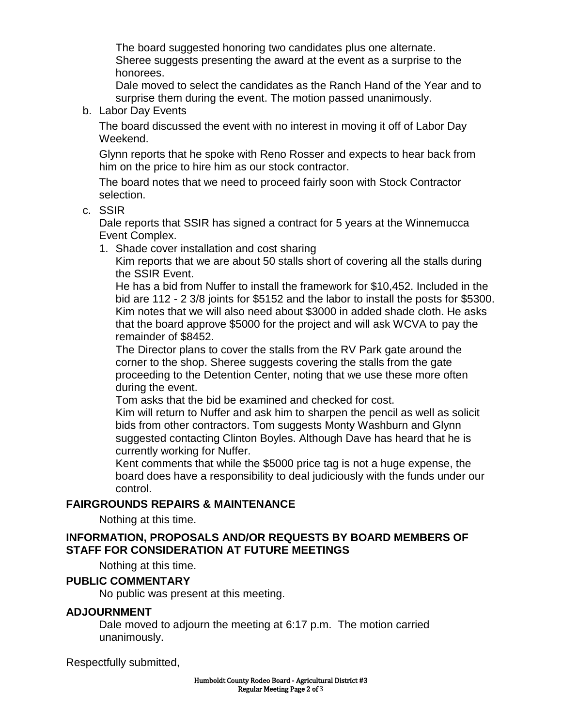The board suggested honoring two candidates plus one alternate. Sheree suggests presenting the award at the event as a surprise to the honorees.

Dale moved to select the candidates as the Ranch Hand of the Year and to surprise them during the event. The motion passed unanimously.

b. Labor Day Events

The board discussed the event with no interest in moving it off of Labor Day Weekend.

Glynn reports that he spoke with Reno Rosser and expects to hear back from him on the price to hire him as our stock contractor.

The board notes that we need to proceed fairly soon with Stock Contractor selection.

c. SSIR

Dale reports that SSIR has signed a contract for 5 years at the Winnemucca Event Complex.

1. Shade cover installation and cost sharing

Kim reports that we are about 50 stalls short of covering all the stalls during the SSIR Event.

He has a bid from Nuffer to install the framework for \$10,452. Included in the bid are 112 - 2 3/8 joints for \$5152 and the labor to install the posts for \$5300. Kim notes that we will also need about \$3000 in added shade cloth. He asks that the board approve \$5000 for the project and will ask WCVA to pay the remainder of \$8452.

The Director plans to cover the stalls from the RV Park gate around the corner to the shop. Sheree suggests covering the stalls from the gate proceeding to the Detention Center, noting that we use these more often during the event.

Tom asks that the bid be examined and checked for cost.

Kim will return to Nuffer and ask him to sharpen the pencil as well as solicit bids from other contractors. Tom suggests Monty Washburn and Glynn suggested contacting Clinton Boyles. Although Dave has heard that he is currently working for Nuffer.

Kent comments that while the \$5000 price tag is not a huge expense, the board does have a responsibility to deal judiciously with the funds under our control.

### **FAIRGROUNDS REPAIRS & MAINTENANCE**

Nothing at this time.

#### **INFORMATION, PROPOSALS AND/OR REQUESTS BY BOARD MEMBERS OF STAFF FOR CONSIDERATION AT FUTURE MEETINGS**

Nothing at this time.

### **PUBLIC COMMENTARY**

No public was present at this meeting.

#### **ADJOURNMENT**

Dale moved to adjourn the meeting at 6:17 p.m. The motion carried unanimously.

Respectfully submitted,